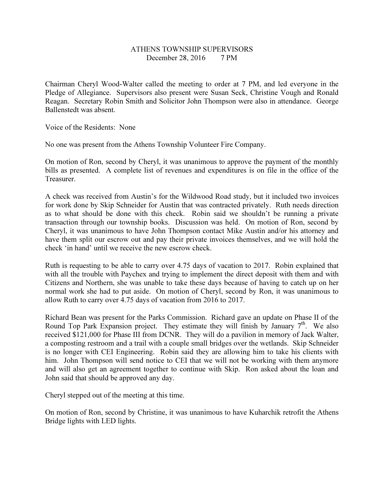## ATHENS TOWNSHIP SUPERVISORS December 28, 2016 7 PM

Chairman Cheryl Wood-Walter called the meeting to order at 7 PM, and led everyone in the Pledge of Allegiance. Supervisors also present were Susan Seck, Christine Vough and Ronald Reagan. Secretary Robin Smith and Solicitor John Thompson were also in attendance. George Ballenstedt was absent.

Voice of the Residents: None

No one was present from the Athens Township Volunteer Fire Company.

On motion of Ron, second by Cheryl, it was unanimous to approve the payment of the monthly bills as presented. A complete list of revenues and expenditures is on file in the office of the Treasurer.

A check was received from Austin's for the Wildwood Road study, but it included two invoices for work done by Skip Schneider for Austin that was contracted privately. Ruth needs direction as to what should be done with this check. Robin said we shouldn't be running a private transaction through our township books. Discussion was held. On motion of Ron, second by Cheryl, it was unanimous to have John Thompson contact Mike Austin and/or his attorney and have them split our escrow out and pay their private invoices themselves, and we will hold the check 'in hand' until we receive the new escrow check.

Ruth is requesting to be able to carry over 4.75 days of vacation to 2017. Robin explained that with all the trouble with Paychex and trying to implement the direct deposit with them and with Citizens and Northern, she was unable to take these days because of having to catch up on her normal work she had to put aside. On motion of Cheryl, second by Ron, it was unanimous to allow Ruth to carry over 4.75 days of vacation from 2016 to 2017.

Richard Bean was present for the Parks Commission. Richard gave an update on Phase II of the Round Top Park Expansion project. They estimate they will finish by January  $7<sup>th</sup>$ . We also received \$121,000 for Phase III from DCNR. They will do a pavilion in memory of Jack Walter, a composting restroom and a trail with a couple small bridges over the wetlands. Skip Schneider is no longer with CEI Engineering. Robin said they are allowing him to take his clients with him. John Thompson will send notice to CEI that we will not be working with them anymore and will also get an agreement together to continue with Skip. Ron asked about the loan and John said that should be approved any day.

Cheryl stepped out of the meeting at this time.

On motion of Ron, second by Christine, it was unanimous to have Kuharchik retrofit the Athens Bridge lights with LED lights.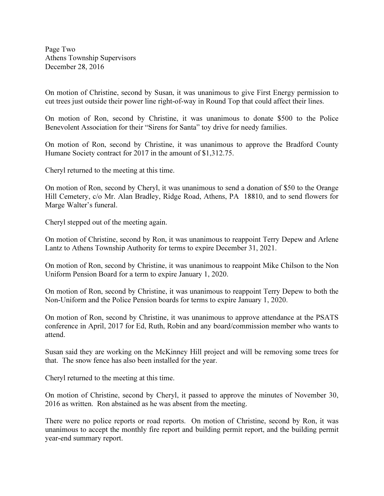Page Two Athens Township Supervisors December 28, 2016

On motion of Christine, second by Susan, it was unanimous to give First Energy permission to cut trees just outside their power line right-of-way in Round Top that could affect their lines.

On motion of Ron, second by Christine, it was unanimous to donate \$500 to the Police Benevolent Association for their "Sirens for Santa" toy drive for needy families.

On motion of Ron, second by Christine, it was unanimous to approve the Bradford County Humane Society contract for 2017 in the amount of \$1,312.75.

Cheryl returned to the meeting at this time.

On motion of Ron, second by Cheryl, it was unanimous to send a donation of \$50 to the Orange Hill Cemetery, c/o Mr. Alan Bradley, Ridge Road, Athens, PA 18810, and to send flowers for Marge Walter's funeral.

Cheryl stepped out of the meeting again.

On motion of Christine, second by Ron, it was unanimous to reappoint Terry Depew and Arlene Lantz to Athens Township Authority for terms to expire December 31, 2021.

On motion of Ron, second by Christine, it was unanimous to reappoint Mike Chilson to the Non Uniform Pension Board for a term to expire January 1, 2020.

On motion of Ron, second by Christine, it was unanimous to reappoint Terry Depew to both the Non-Uniform and the Police Pension boards for terms to expire January 1, 2020.

On motion of Ron, second by Christine, it was unanimous to approve attendance at the PSATS conference in April, 2017 for Ed, Ruth, Robin and any board/commission member who wants to attend.

Susan said they are working on the McKinney Hill project and will be removing some trees for that. The snow fence has also been installed for the year.

Cheryl returned to the meeting at this time.

On motion of Christine, second by Cheryl, it passed to approve the minutes of November 30, 2016 as written. Ron abstained as he was absent from the meeting.

There were no police reports or road reports. On motion of Christine, second by Ron, it was unanimous to accept the monthly fire report and building permit report, and the building permit year-end summary report.